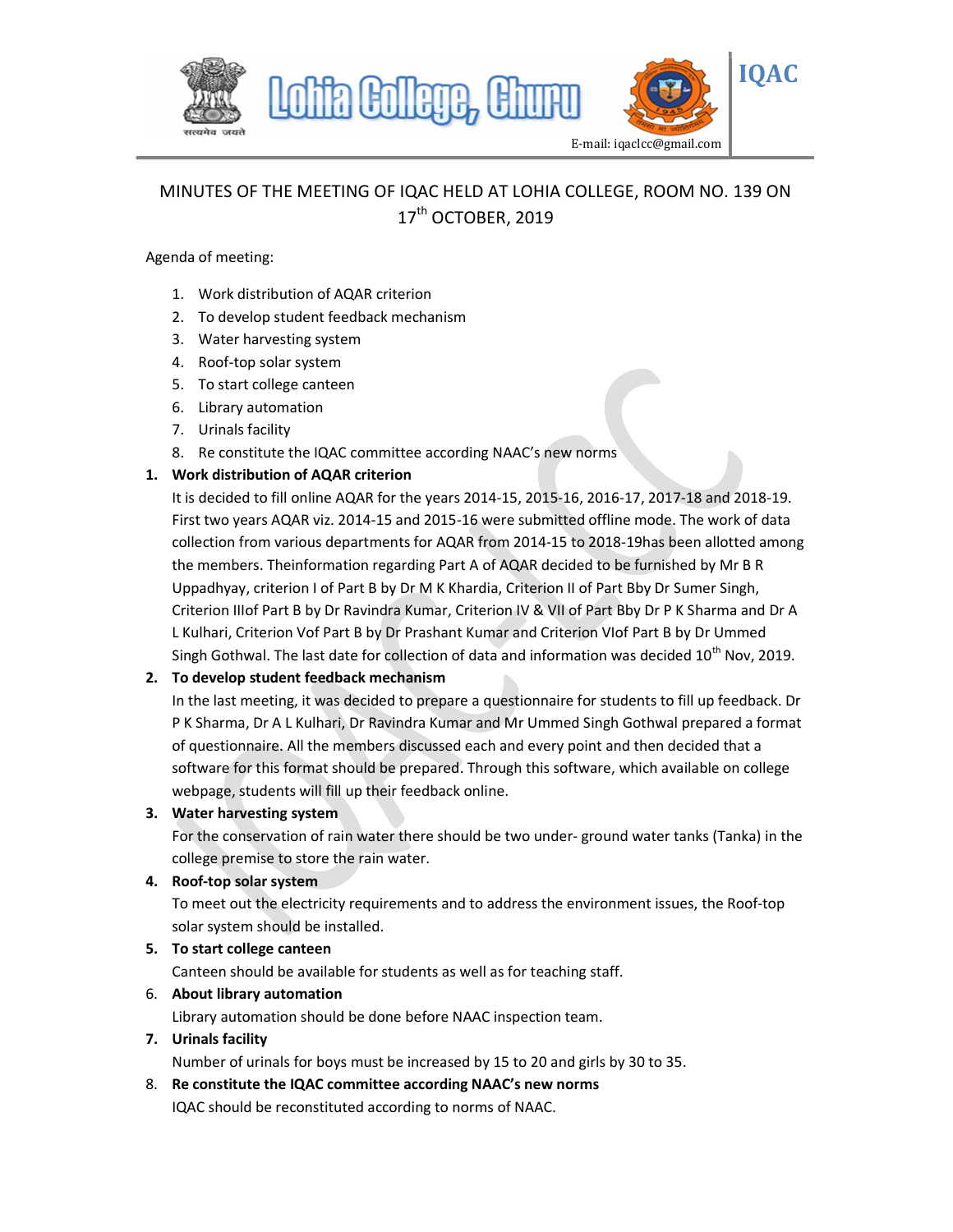

# MINUTES OF THE MEETING OF IQAC HELD AT LOHIA COLLEGE, ROOM NO. 139 ON 17<sup>th</sup> OCTOBER, 2019

#### Agenda of meeting:

- 1. Work distribution of AQAR criterion
- 2. To develop student feedback mechanism
- 3. Water harvesting system
- 4. Roof-top solar system
- 5. To start college canteen
- 6. Library automation
- 7. Urinals facility
- 8. Re constitute the IQAC committee according NAAC's new norms

### 1. Work distribution of AQAR criterion

It is decided to fill online AQAR for the years 2014-15, 2015-16, 2016-17, 2017-18 and 2018-19. First two years AQAR viz. 2014-15 and 2015-16 were submitted offline mode. The work of data collection from various departments for AQAR from 2014-15 to 2018-19has been allotted among the members. Theinformation regarding Part A of AQAR decided to be furnished by Mr B R Uppadhyay, criterion I of Part B by Dr M K Khardia, Criterion II of Part Bby Dr Sumer Singh, Criterion IIIof Part B by Dr Ravindra Kumar, Criterion IV & VII of Part Bby Dr P K Sharma and Dr A L Kulhari, Criterion Vof Part B by Dr Prashant Kumar and Criterion VIof Part B by Dr Ummed Singh Gothwal. The last date for collection of data and information was decided  $10^{th}$  Nov, 2019.

## 2. To develop student feedback mechanism

In the last meeting, it was decided to prepare a questionnaire for students to fill up feedback. Dr P K Sharma, Dr A L Kulhari, Dr Ravindra Kumar and Mr Ummed Singh Gothwal prepared a format of questionnaire. All the members discussed each and every point and then decided that a software for this format should be prepared. Through this software, which available on college webpage, students will fill up their feedback online.

#### 3. Water harvesting system

For the conservation of rain water there should be two under- ground water tanks (Tanka) in the college premise to store the rain water.

#### 4. Roof-top solar system

To meet out the electricity requirements and to address the environment issues, the Roof-top solar system should be installed.

#### 5. To start college canteen

Canteen should be available for students as well as for teaching staff.

#### 6. About library automation

Library automation should be done before NAAC inspection team.

#### 7. Urinals facility

Number of urinals for boys must be increased by 15 to 20 and girls by 30 to 35.

8. Re constitute the IQAC committee according NAAC's new norms IQAC should be reconstituted according to norms of NAAC.